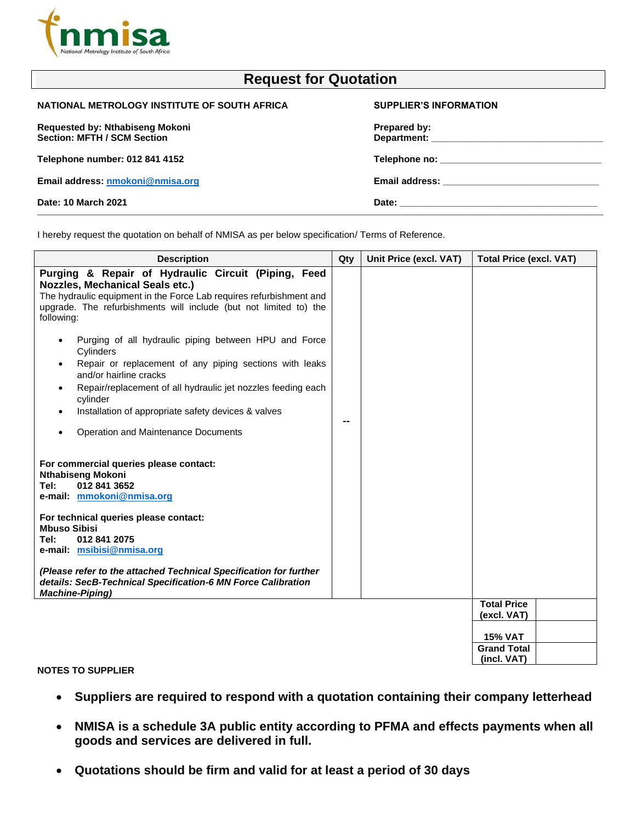

| <b>Request for Quotation</b>                                                                      |                                                                                                                                                                                                                                                |  |
|---------------------------------------------------------------------------------------------------|------------------------------------------------------------------------------------------------------------------------------------------------------------------------------------------------------------------------------------------------|--|
| NATIONAL METROLOGY INSTITUTE OF SOUTH AFRICA                                                      | <b>SUPPLIER'S INFORMATION</b>                                                                                                                                                                                                                  |  |
| Requested by: Nthabiseng Mokoni<br><b>Section: MFTH / SCM Section</b>                             | Prepared by:<br>Department: the contract of the contract of the contract of the contract of the contract of the contract of the contract of the contract of the contract of the contract of the contract of the contract of the contract of th |  |
| Telephone number: 012 841 4152                                                                    | <b>Telephone no:</b> Telephone no:                                                                                                                                                                                                             |  |
| Email address: nmokoni@nmisa.org                                                                  |                                                                                                                                                                                                                                                |  |
| Date: 10 March 2021                                                                               |                                                                                                                                                                                                                                                |  |
| I hereby request the quotation on behalf of NMISA as per below specification/ Terms of Reference. |                                                                                                                                                                                                                                                |  |

**Description Qty Unit Price (excl. VAT) Total Price (excl. VAT) Purging & Repair of Hydraulic Circuit (Piping, Feed Nozzles, Mechanical Seals etc.)** The hydraulic equipment in the Force Lab requires refurbishment and upgrade. The refurbishments will include (but not limited to) the following: Purging of all hydraulic piping between HPU and Force Cylinders Repair or replacement of any piping sections with leaks and/or hairline cracks • Repair/replacement of all hydraulic jet nozzles feeding each cylinder • Installation of appropriate safety devices & valves • Operation and Maintenance Documents **For commercial queries please contact: Nthabiseng Mokoni Tel: 012 841 3652 e-mail: [mmokoni@nmisa.org](mailto:mmokoni@nmisa.org) For technical queries please contact: Mbuso Sibisi Tel: 012 841 2075 e-mail: [msibisi@nmisa.org](mailto:msibisi@nmisa.org)** *(Please refer to the attached Technical Specification for further details: SecB-Technical Specification-6 MN Force Calibration Machine-Piping)* **-- Total Price (excl. VAT) 15% VAT Grand Total (incl. VAT)**

## **NOTES TO SUPPLIER**

- **Suppliers are required to respond with a quotation containing their company letterhead**
- **NMISA is a schedule 3A public entity according to PFMA and effects payments when all goods and services are delivered in full.**
- **Quotations should be firm and valid for at least a period of 30 days**